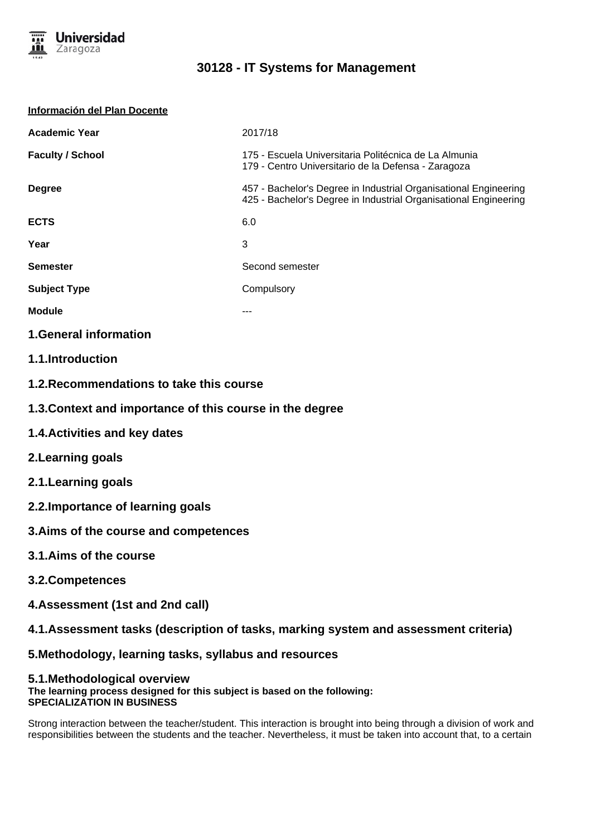

| Información del Plan Docente |                                                                                                                                      |
|------------------------------|--------------------------------------------------------------------------------------------------------------------------------------|
| <b>Academic Year</b>         | 2017/18                                                                                                                              |
| <b>Faculty / School</b>      | 175 - Escuela Universitaria Politécnica de La Almunia<br>179 - Centro Universitario de la Defensa - Zaragoza                         |
| <b>Degree</b>                | 457 - Bachelor's Degree in Industrial Organisational Engineering<br>425 - Bachelor's Degree in Industrial Organisational Engineering |
| <b>ECTS</b>                  | 6.0                                                                                                                                  |
| Year                         | 3                                                                                                                                    |
| <b>Semester</b>              | Second semester                                                                                                                      |
| <b>Subject Type</b>          | Compulsory                                                                                                                           |
| <b>Module</b>                |                                                                                                                                      |
|                              |                                                                                                                                      |

**1.General information**

- **1.1.Introduction**
- **1.2.Recommendations to take this course**
- **1.3.Context and importance of this course in the degree**
- **1.4.Activities and key dates**
- **2.Learning goals**
- **2.1.Learning goals**
- **2.2.Importance of learning goals**
- **3.Aims of the course and competences**
- **3.1.Aims of the course**
- **3.2.Competences**
- **4.Assessment (1st and 2nd call)**
- **4.1.Assessment tasks (description of tasks, marking system and assessment criteria)**

**5.Methodology, learning tasks, syllabus and resources**

### **5.1.Methodological overview The learning process designed for this subject is based on the following: SPECIALIZATION IN BUSINESS**

Strong interaction between the teacher/student. This interaction is brought into being through a division of work and responsibilities between the students and the teacher. Nevertheless, it must be taken into account that, to a certain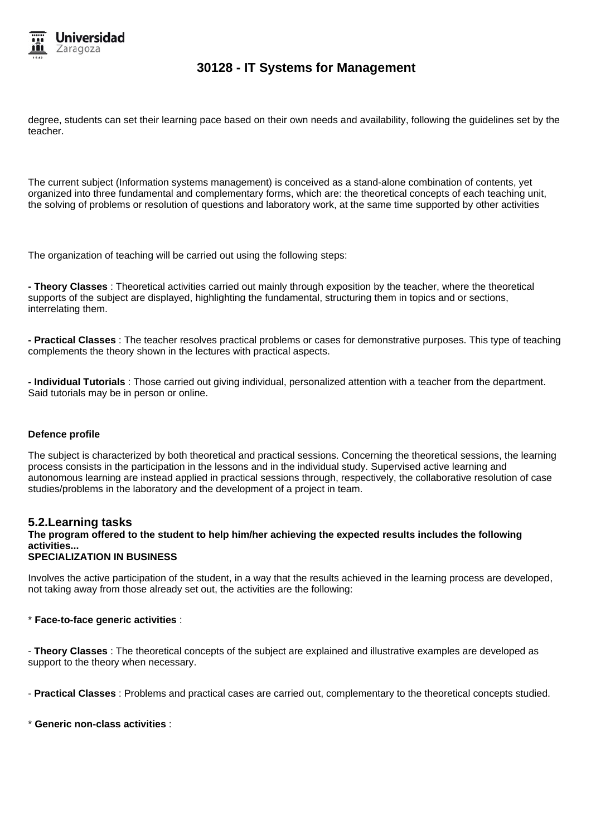

degree, students can set their learning pace based on their own needs and availability, following the guidelines set by the teacher.

The current subject (Information systems management) is conceived as a stand-alone combination of contents, yet organized into three fundamental and complementary forms, which are: the theoretical concepts of each teaching unit, the solving of problems or resolution of questions and laboratory work, at the same time supported by other activities

The organization of teaching will be carried out using the following steps:

**- Theory Classes** : Theoretical activities carried out mainly through exposition by the teacher, where the theoretical supports of the subject are displayed, highlighting the fundamental, structuring them in topics and or sections, interrelating them.

**- Practical Classes** : The teacher resolves practical problems or cases for demonstrative purposes. This type of teaching complements the theory shown in the lectures with practical aspects.

**- Individual Tutorials** : Those carried out giving individual, personalized attention with a teacher from the department. Said tutorials may be in person or online.

### **Defence profile**

The subject is characterized by both theoretical and practical sessions. Concerning the theoretical sessions, the learning process consists in the participation in the lessons and in the individual study. Supervised active learning and autonomous learning are instead applied in practical sessions through, respectively, the collaborative resolution of case studies/problems in the laboratory and the development of a project in team.

### **5.2.Learning tasks**

## **The program offered to the student to help him/her achieving the expected results includes the following activities...**

### **SPECIALIZATION IN BUSINESS**

Involves the active participation of the student, in a way that the results achieved in the learning process are developed, not taking away from those already set out, the activities are the following:

#### \* **Face-to-face generic activities** :

- **Theory Classes** : The theoretical concepts of the subject are explained and illustrative examples are developed as support to the theory when necessary.

- **Practical Classes** : Problems and practical cases are carried out, complementary to the theoretical concepts studied.

#### \* **Generic non-class activities** :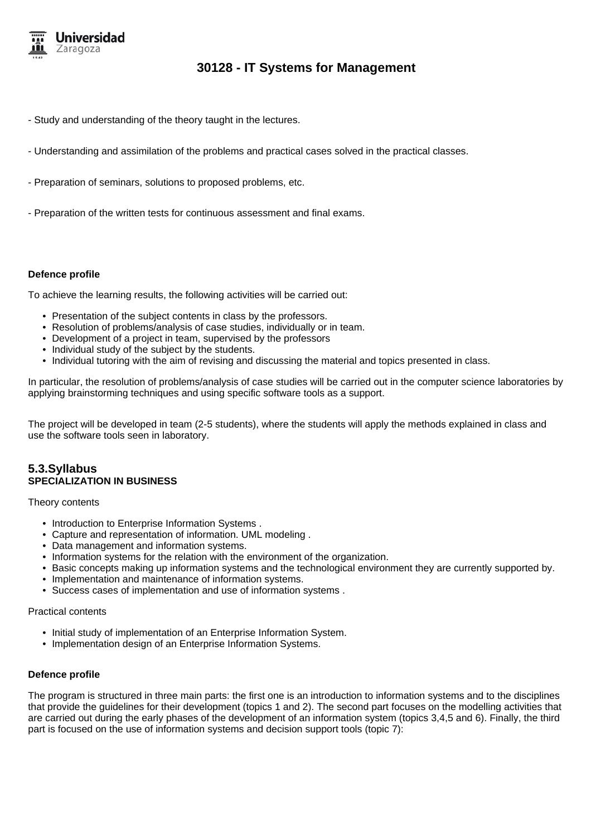

- Study and understanding of the theory taught in the lectures.
- Understanding and assimilation of the problems and practical cases solved in the practical classes.
- Preparation of seminars, solutions to proposed problems, etc.
- Preparation of the written tests for continuous assessment and final exams.

#### **Defence profile**

To achieve the learning results, the following activities will be carried out:

- Presentation of the subject contents in class by the professors.
- Resolution of problems/analysis of case studies, individually or in team.
- Development of a project in team, supervised by the professors
- Individual study of the subject by the students.
- Individual tutoring with the aim of revising and discussing the material and topics presented in class.

In particular, the resolution of problems/analysis of case studies will be carried out in the computer science laboratories by applying brainstorming techniques and using specific software tools as a support.

The project will be developed in team (2-5 students), where the students will apply the methods explained in class and use the software tools seen in laboratory.

## **5.3.Syllabus SPECIALIZATION IN BUSINESS**

Theory contents

- Introduction to Enterprise Information Systems .
- Capture and representation of information. UML modeling .
- Data management and information systems.
- Information systems for the relation with the environment of the organization.
- Basic concepts making up information systems and the technological environment they are currently supported by.
- Implementation and maintenance of information systems.
- Success cases of implementation and use of information systems .

#### Practical contents

- Initial study of implementation of an Enterprise Information System.
- Implementation design of an Enterprise Information Systems.

#### **Defence profile**

The program is structured in three main parts: the first one is an introduction to information systems and to the disciplines that provide the guidelines for their development (topics 1 and 2). The second part focuses on the modelling activities that are carried out during the early phases of the development of an information system (topics 3,4,5 and 6). Finally, the third part is focused on the use of information systems and decision support tools (topic 7):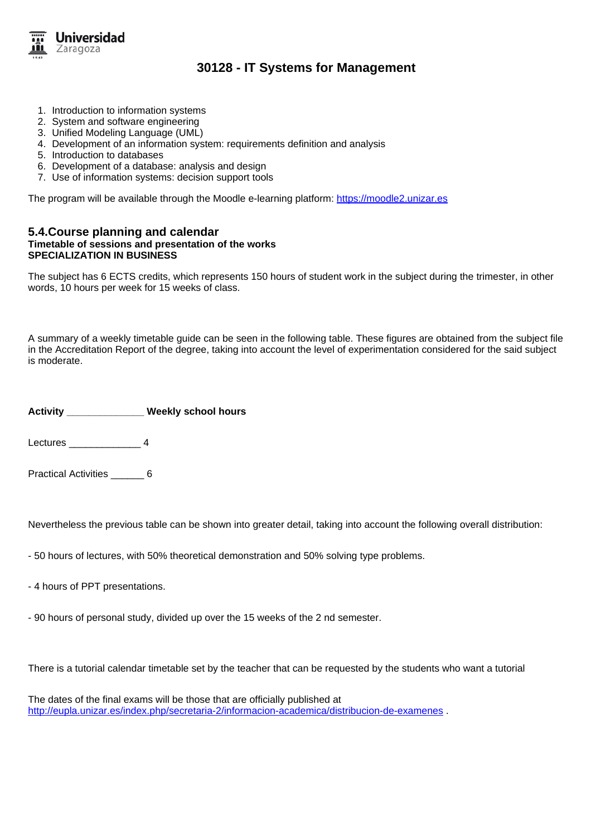

- 1. Introduction to information systems
- 2. System and software engineering
- 3. Unified Modeling Language (UML)
- 4. Development of an information system: requirements definition and analysis
- 5. Introduction to databases
- 6. Development of a database: analysis and design
- 7. Use of information systems: decision support tools

The program will be available through the Moodle e-learning platform: https://moodle2.unizar.es

### **5.4.Course planning and calendar Timetable of sessions and presentation of the works SPECIALIZATION IN BUSINESS**

The subject has 6 ECTS credits, which represents 150 hours of student work in the subject during the trimester, in other words, 10 hours per week for 15 weeks of class.

A summary of a weekly timetable guide can be seen in the following table. These figures are obtained from the subject file in the Accreditation Report of the degree, taking into account the level of experimentation considered for the said subject is moderate.

**Activity \_\_\_\_\_\_\_\_\_\_\_\_\_\_ Weekly school hours**

Lectures \_\_\_\_\_\_\_\_\_\_\_\_\_ 4

Practical Activities 6

Nevertheless the previous table can be shown into greater detail, taking into account the following overall distribution:

- 50 hours of lectures, with 50% theoretical demonstration and 50% solving type problems.
- 4 hours of PPT presentations.
- 90 hours of personal study, divided up over the 15 weeks of the 2 nd semester.

There is a tutorial calendar timetable set by the teacher that can be requested by the students who want a tutorial

The dates of the final exams will be those that are officially published at http://eupla.unizar.es/index.php/secretaria-2/informacion-academica/distribucion-de-examenes .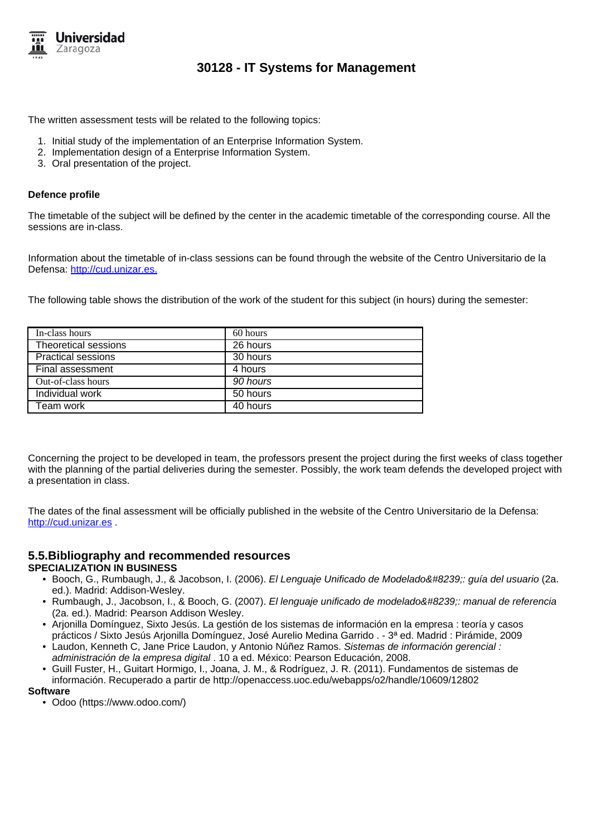

The written assessment tests will be related to the following topics:

- 1. Initial study of the implementation of an Enterprise Information System.
- 2. Implementation design of a Enterprise Information System.
- 3. Oral presentation of the project.

### **Defence profile**

The timetable of the subject will be defined by the center in the academic timetable of the corresponding course. All the sessions are in-class.

Information about the timetable of in-class sessions can be found through the website of the Centro Universitario de la Defensa: http://cud.unizar.es.

The following table shows the distribution of the work of the student for this subject (in hours) during the semester:

| In-class hours            | 60 hours |
|---------------------------|----------|
| Theoretical sessions      | 26 hours |
| <b>Practical sessions</b> | 30 hours |
| Final assessment          | 4 hours  |
| Out-of-class hours        | 90 hours |
| Individual work           | 50 hours |
| Team work                 | 40 hours |

Concerning the project to be developed in team, the professors present the project during the first weeks of class together with the planning of the partial deliveries during the semester. Possibly, the work team defends the developed project with a presentation in class.

The dates of the final assessment will be officially published in the website of the Centro Universitario de la Defensa: http://cud.unizar.es .

### **5.5.Bibliography and recommended resources SPECIALIZATION IN BUSINESS**

- Booch, G., Rumbaugh, J., & Jacobson, I. (2006). El Lenguaje Unificado de Modelado : guía del usuario (2a. ed.). Madrid: Addison-Wesley.
- Rumbaugh, J., Jacobson, I., & Booch, G. (2007). El lenguaje unificado de modelado : manual de referencia (2a. ed.). Madrid: Pearson Addison Wesley.
- Arjonilla Domínguez, Sixto Jesús. La gestión de los sistemas de información en la empresa : teoría y casos prácticos / Sixto Jesús Arjonilla Domínguez, José Aurelio Medina Garrido . - 3ª ed. Madrid : Pirámide, 2009
- Laudon, Kenneth C, Jane Price Laudon, y Antonio Núñez Ramos. Sistemas de información gerencial : administración de la empresa digital . 10 a ed. México: Pearson Educación, 2008.
- Guill Fuster, H., Guitart Hormigo, I., Joana, J. M., & Rodríguez, J. R. (2011). Fundamentos de sistemas de información. Recuperado a partir de http://openaccess.uoc.edu/webapps/o2/handle/10609/12802

#### **Software**

• Odoo (https://www.odoo.com/)